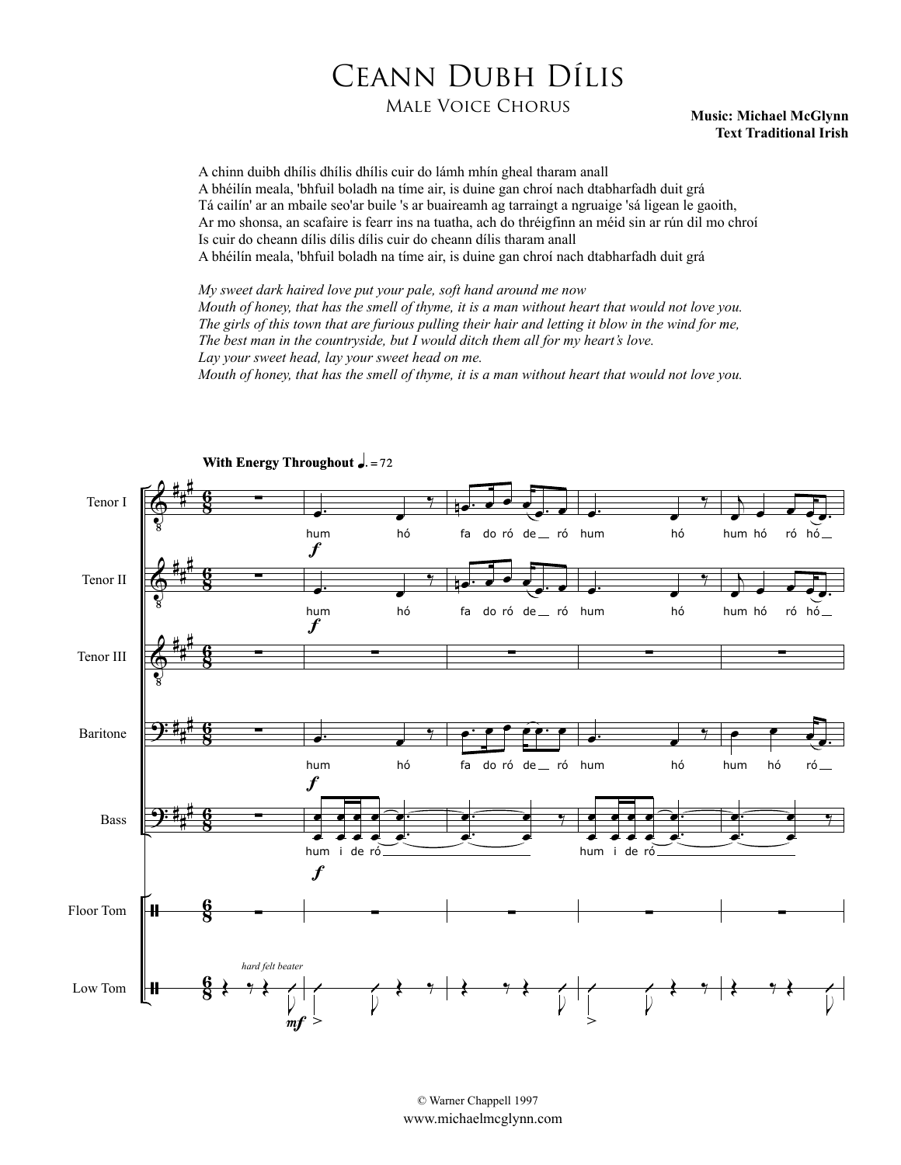## Ceann Dubh Dílis

## Male Voice Chorus **Music: Michael McGlynn**

## **Text Traditional Irish**

A chinn duibh dhílis dhílis dhílis cuir do lámh mhín gheal tharam anall A bhéilín meala, 'bhfuil boladh na tíme air, is duine gan chroí nach dtabharfadh duit grá Tá cailín' ar an mbaile seo'ar buile 's ar buaireamh ag tarraingt a ngruaige 'sá ligean le gaoith, Ar mo shonsa, an scafaire is fearr ins na tuatha, ach do thréigfinn an méid sin ar rún dil mo chroí Is cuir do cheann dílis dílis dílis cuir do cheann dílis tharam anall A bhéilín meala, 'bhfuil boladh na tíme air, is duine gan chroí nach dtabharfadh duit grá

*My sweet dark haired love put your pale, soft hand around me now Mouth of honey, that has the smell of thyme, it is a man without heart that would not love you. The girls of this town that are furious pulling their hair and letting it blow in the wind for me, The best man in the countryside, but I would ditch them all for my heart's love. Lay your sweet head, lay your sweet head on me.*

*Mouth of honey, that has the smell of thyme, it is a man without heart that would not love you.*



© Warner Chappell 1997 www.michaelmcglynn.com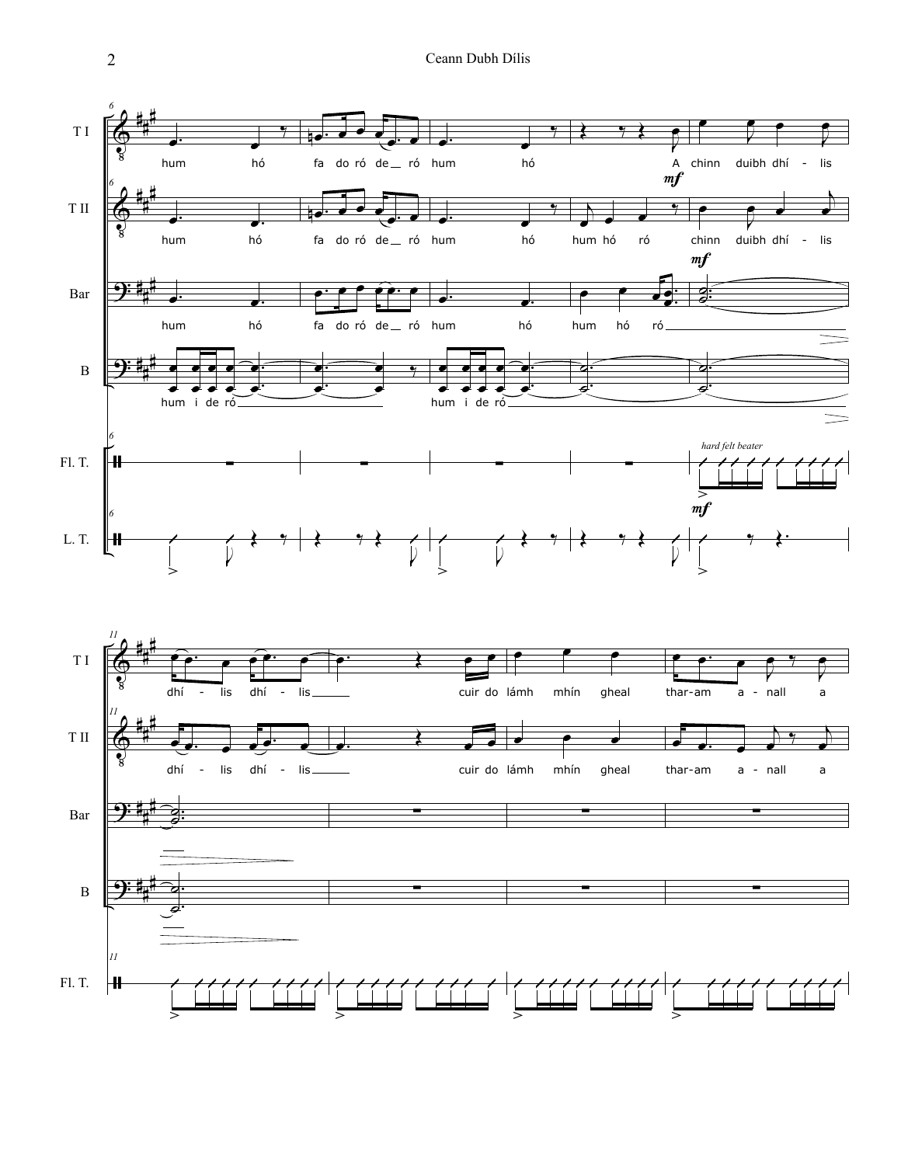